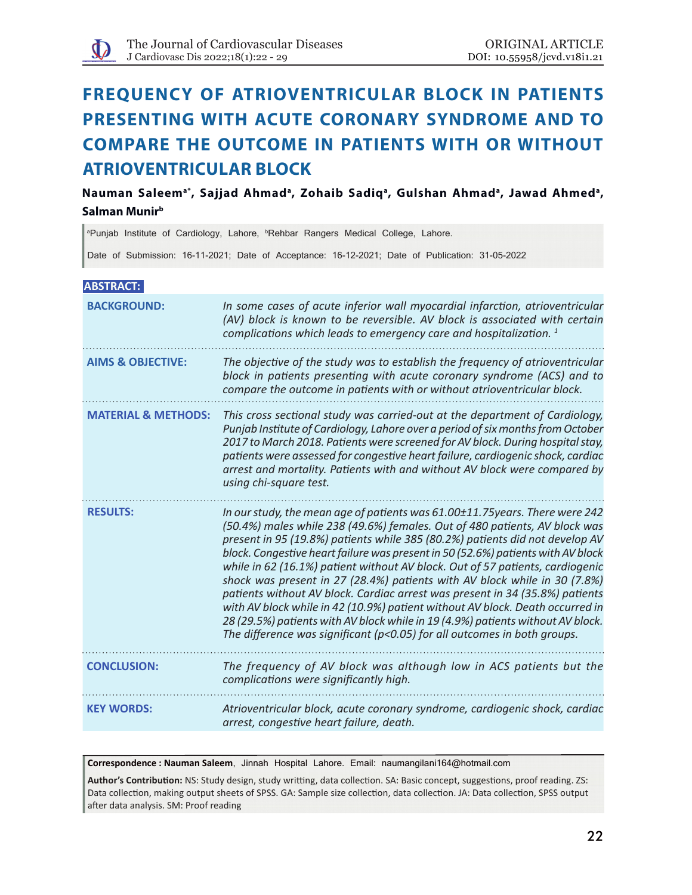

# **Frequency of atrioventricular block in patients presenting with acute coronary syndrome and to compare the outcome in patients with or without atrioventricular block**

Nauman Saleem<sup>a\*</sup>, Sajjad Ahmad<sup>a</sup>, Zohaib Sadiq<sup>a</sup>, Gulshan Ahmad<sup>a</sup>, Jawad Ahmed<sup>a</sup>, **Salman Munirb**

<sup>a</sup>Punjab Institute of Cardiology, Lahore, <sup>b</sup>Rehbar Rangers Medical College, Lahore.

Date of Submission: 16-11-2021; Date of Acceptance: 16-12-2021; Date of Publication: 31-05-2022

# **ABSTRACT:**

| <b>BACKGROUND:</b>             | In some cases of acute inferior wall myocardial infarction, atrioventricular<br>(AV) block is known to be reversible. AV block is associated with certain<br>complications which leads to emergency care and hospitalization. <sup>1</sup>                                                                                                                                                                                                                                                                                                                                                                                                                                                                                                                                                                                      |
|--------------------------------|---------------------------------------------------------------------------------------------------------------------------------------------------------------------------------------------------------------------------------------------------------------------------------------------------------------------------------------------------------------------------------------------------------------------------------------------------------------------------------------------------------------------------------------------------------------------------------------------------------------------------------------------------------------------------------------------------------------------------------------------------------------------------------------------------------------------------------|
| <b>AIMS &amp; OBJECTIVE:</b>   | The objective of the study was to establish the frequency of atrioventricular<br>block in patients presenting with acute coronary syndrome (ACS) and to<br>compare the outcome in patients with or without atrioventricular block.                                                                                                                                                                                                                                                                                                                                                                                                                                                                                                                                                                                              |
| <b>MATERIAL &amp; METHODS:</b> | This cross sectional study was carried-out at the department of Cardiology,<br>Punjab Institute of Cardiology, Lahore over a period of six months from October<br>2017 to March 2018. Patients were screened for AV block. During hospital stay,<br>patients were assessed for congestive heart failure, cardiogenic shock, cardiac<br>arrest and mortality. Patients with and without AV block were compared by<br>using chi-square test.                                                                                                                                                                                                                                                                                                                                                                                      |
| <b>RESULTS:</b>                | In our study, the mean age of patients was 61.00±11.75years. There were 242<br>(50.4%) males while 238 (49.6%) females. Out of 480 patients, AV block was<br>present in 95 (19.8%) patients while 385 (80.2%) patients did not develop AV<br>block. Congestive heart failure was present in 50 (52.6%) patients with AV block<br>while in 62 (16.1%) patient without AV block. Out of 57 patients, cardiogenic<br>shock was present in 27 (28.4%) patients with AV block while in 30 (7.8%)<br>patients without AV block. Cardiac arrest was present in 34 (35.8%) patients<br>with AV block while in 42 (10.9%) patient without AV block. Death occurred in<br>28 (29.5%) patients with AV block while in 19 (4.9%) patients without AV block.<br>The difference was significant ( $p$ <0.05) for all outcomes in both groups. |
| <b>CONCLUSION:</b>             | The frequency of AV block was although low in ACS patients but the<br>complications were significantly high.                                                                                                                                                                                                                                                                                                                                                                                                                                                                                                                                                                                                                                                                                                                    |
| <b>KEY WORDS:</b>              | Atrioventricular block, acute coronary syndrome, cardiogenic shock, cardiac<br>arrest, congestive heart failure, death.                                                                                                                                                                                                                                                                                                                                                                                                                                                                                                                                                                                                                                                                                                         |

**Correspondence : Nauman Saleem**, Jinnah Hospital Lahore. Email: naumangilani164@hotmail.com

**Author's Contribution:** NS: Study design, study writting, data collection. SA: Basic concept, suggestions, proof reading. ZS: Data collection, making output sheets of SPSS. GA: Sample size collection, data collection. JA: Data collection, SPSS output after data analysis. SM: Proof reading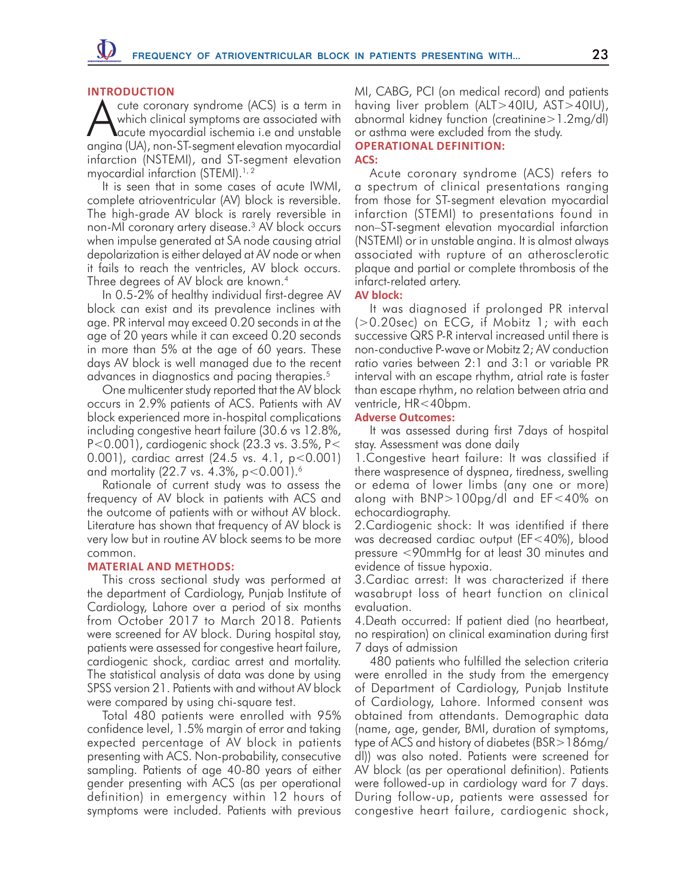# **INTRODUCTION**

cute coronary syndrome (ACS) is a term in which clinical symptoms are associated with acute myocardial ischemia i.e and unstable angina (UA), non-ST-segment elevation myocardial infarction (NSTEMI), and ST-segment elevation myocardial infarction (STEMI).<sup>1, 2</sup>

It is seen that in some cases of acute IWMI, complete atrioventricular (AV) block is reversible. The high-grade AV block is rarely reversible in non-MI coronary artery disease.3 AV block occurs when impulse generated at SA node causing atrial depolarization is either delayed at AV node or when it fails to reach the ventricles, AV block occurs. Three degrees of AV block are known.<sup>4</sup>

In 0.5-2% of healthy individual first-degree AV block can exist and its prevalence inclines with age. PR interval may exceed 0.20 seconds in at the age of 20 years while it can exceed 0.20 seconds in more than 5% at the age of 60 years. These days AV block is well managed due to the recent advances in diagnostics and pacing therapies.<sup>5</sup>

One multicenter study reported that the AV block occurs in 2.9% patients of ACS. Patients with AV block experienced more in-hospital complications including congestive heart failure (30.6 vs 12.8%, P<0.001), cardiogenic shock (23.3 vs. 3.5%, P< 0.001), cardiac arrest (24.5 vs. 4.1, p<0.001) and mortality (22.7 vs. 4.3%, p<0.001).6

Rationale of current study was to assess the frequency of AV block in patients with ACS and the outcome of patients with or without AV block. Literature has shown that frequency of AV block is very low but in routine AV block seems to be more common.

# **MATERIAL AND METHODS:**

This cross sectional study was performed at the department of Cardiology, Punjab Institute of Cardiology, Lahore over a period of six months from October 2017 to March 2018. Patients were screened for AV block. During hospital stay, patients were assessed for congestive heart failure, cardiogenic shock, cardiac arrest and mortality. The statistical analysis of data was done by using SPSS version 21. Patients with and without AV block were compared by using chi-square test.

Total 480 patients were enrolled with 95% confidence level, 1.5% margin of error and taking expected percentage of AV block in patients presenting with ACS. Non-probability, consecutive sampling. Patients of age 40-80 years of either gender presenting with ACS (as per operational definition) in emergency within 12 hours of symptoms were included. Patients with previous

MI, CABG, PCI (on medical record) and patients having liver problem (ALT>40IU, AST>40IU), abnormal kidney function (creatinine>1.2mg/dl) or asthma were excluded from the study.

#### **Operational definition: ACS:**

Acute coronary syndrome (ACS) refers to a spectrum of clinical presentations ranging from those for ST-segment elevation myocardial infarction (STEMI) to presentations found in non–ST-segment elevation myocardial infarction (NSTEMI) or in unstable angina. It is almost always associated with rupture of an atherosclerotic plaque and partial or complete thrombosis of the infarct-related artery.

# **AV block:**

It was diagnosed if prolonged PR interval (>0.20sec) on ECG, if Mobitz 1; with each successive QRS P-R interval increased until there is non-conductive P-wave or Mobitz 2; AV conduction ratio varies between 2:1 and 3:1 or variable PR interval with an escape rhythm, atrial rate is faster than escape rhythm, no relation between atria and ventricle, HR<40bpm.

# **Adverse Outcomes:**

It was assessed during first 7days of hospital stay. Assessment was done daily

1.Congestive heart failure: It was classified if there waspresence of dyspnea, tiredness, swelling or edema of lower limbs (any one or more) along with BNP>100pg/dl and EF<40% on echocardiography.

2.Cardiogenic shock: It was identified if there was decreased cardiac output (EF<40%), blood pressure <90mmHg for at least 30 minutes and evidence of tissue hypoxia.

3.Cardiac arrest: It was characterized if there wasabrupt loss of heart function on clinical evaluation.

4.Death occurred: If patient died (no heartbeat, no respiration) on clinical examination during first 7 days of admission

480 patients who fulfilled the selection criteria were enrolled in the study from the emergency of Department of Cardiology, Punjab Institute of Cardiology, Lahore. Informed consent was obtained from attendants. Demographic data (name, age, gender, BMI, duration of symptoms, type of ACS and history of diabetes (BSR>186mg/ dl)) was also noted. Patients were screened for AV block (as per operational definition). Patients were followed-up in cardiology ward for 7 days. During follow-up, patients were assessed for congestive heart failure, cardiogenic shock,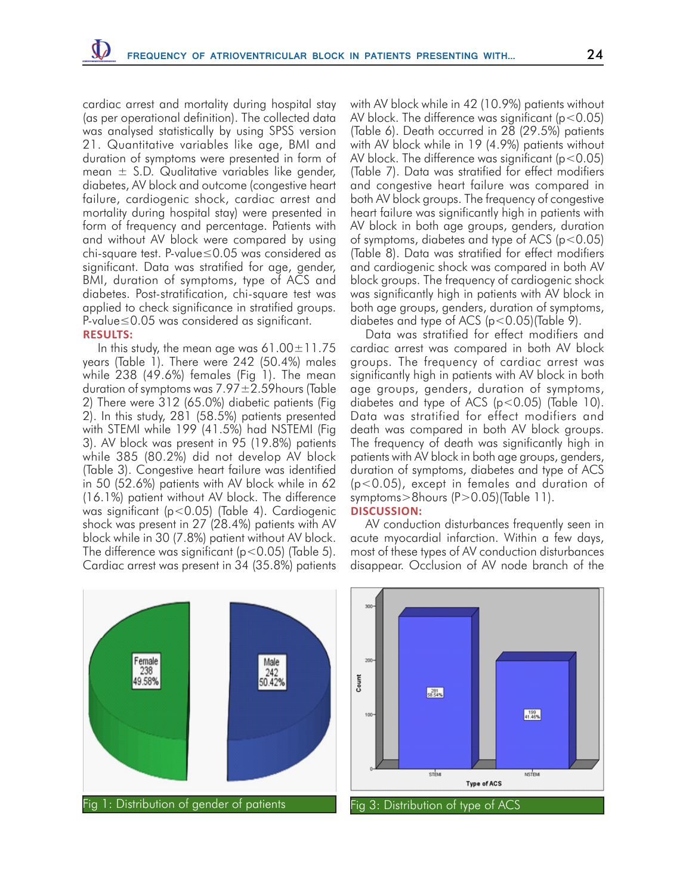cardiac arrest and mortality during hospital stay (as per operational definition). The collected data was analysed statistically by using SPSS version 21. Quantitative variables like age, BMI and duration of symptoms were presented in form of mean  $\pm$  S.D. Qualitative variables like gender, diabetes, AV block and outcome (congestive heart failure, cardiogenic shock, cardiac arrest and mortality during hospital stay) were presented in form of frequency and percentage. Patients with and without AV block were compared by using chi-square test. P-value≤0.05 was considered as significant. Data was stratified for age, gender, BMI, duration of symptoms, type of ACS and diabetes. Post-stratification, chi-square test was applied to check significance in stratified groups. P-value≤0.05 was considered as significant.

# **RESULTS:**

In this study, the mean age was  $61.00\pm11.75$ years (Table 1). There were 242 (50.4%) males while 238 (49.6%) females (Fig 1). The mean duration of symptoms was  $7.97 \pm 2.59$ hours (Table 2) There were 312 (65.0%) diabetic patients (Fig 2). In this study, 281 (58.5%) patients presented with STEMI while 199 (41.5%) had NSTEMI (Fig 3). AV block was present in 95 (19.8%) patients while 385 (80.2%) did not develop AV block (Table 3). Congestive heart failure was identified in 50 (52.6%) patients with AV block while in 62 (16.1%) patient without AV block. The difference was significant (p<0.05) (Table 4). Cardiogenic shock was present in 27 (28.4%) patients with AV block while in 30 (7.8%) patient without AV block. The difference was significant (p<0.05) (Table 5). Cardiac arrest was present in 34 (35.8%) patients with AV block while in 42 (10.9%) patients without AV block. The difference was significant ( $p < 0.05$ ) (Table 6). Death occurred in 28 (29.5%) patients with AV block while in 19 (4.9%) patients without AV block. The difference was significant ( $p < 0.05$ ) (Table 7). Data was stratified for effect modifiers and congestive heart failure was compared in both AV block groups. The frequency of congestive heart failure was significantly high in patients with AV block in both age groups, genders, duration of symptoms, diabetes and type of ACS ( $p < 0.05$ ) (Table 8). Data was stratified for effect modifiers and cardiogenic shock was compared in both AV block groups. The frequency of cardiogenic shock was significantly high in patients with AV block in both age groups, genders, duration of symptoms, diabetes and type of ACS (p<0.05)(Table 9).

Data was stratified for effect modifiers and cardiac arrest was compared in both AV block groups. The frequency of cardiac arrest was significantly high in patients with AV block in both age groups, genders, duration of symptoms, diabetes and type of ACS (p<0.05) (Table 10). Data was stratified for effect modifiers and death was compared in both AV block groups. The frequency of death was significantly high in patients with AV block in both age groups, genders, duration of symptoms, diabetes and type of ACS (p<0.05), except in females and duration of symptoms>8hours (P>0.05)(Table 11). **DISCUSSION:**

AV conduction disturbances frequently seen in acute myocardial infarction. Within a few days, most of these types of AV conduction disturbances disappear. Occlusion of AV node branch of the



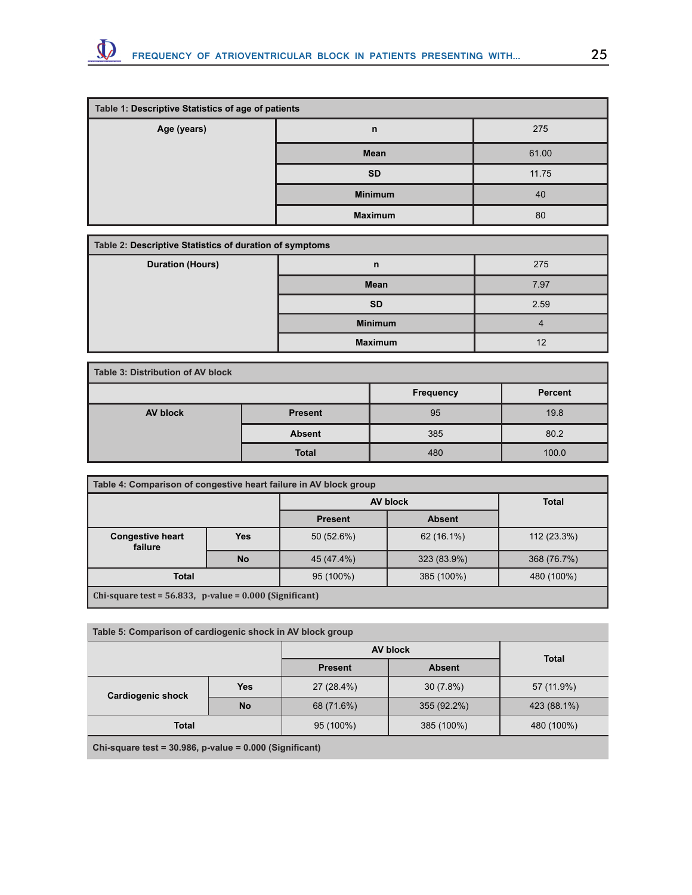

| Table 1: Descriptive Statistics of age of patients |                |       |  |  |  |
|----------------------------------------------------|----------------|-------|--|--|--|
| Age (years)                                        | $\mathsf{n}$   |       |  |  |  |
|                                                    | Mean           | 61.00 |  |  |  |
|                                                    | <b>SD</b>      | 11.75 |  |  |  |
|                                                    | <b>Minimum</b> | 40    |  |  |  |
|                                                    | <b>Maximum</b> | 80    |  |  |  |

| Table 2: Descriptive Statistics of duration of symptoms |                |      |  |  |
|---------------------------------------------------------|----------------|------|--|--|
| <b>Duration (Hours)</b>                                 | $\mathsf{n}$   | 275  |  |  |
|                                                         | <b>Mean</b>    | 7.97 |  |  |
|                                                         | <b>SD</b>      | 2.59 |  |  |
|                                                         | <b>Minimum</b> |      |  |  |
|                                                         | <b>Maximum</b> | 12   |  |  |

| Table 3: Distribution of AV block |                |           |         |  |  |
|-----------------------------------|----------------|-----------|---------|--|--|
|                                   |                | Frequency | Percent |  |  |
| <b>AV block</b>                   | <b>Present</b> | 95        | 19.8    |  |  |
|                                   | <b>Absent</b>  | 385       | 80.2    |  |  |
|                                   | <b>Total</b>   | 480       | 100.0   |  |  |

| Table 4: Comparison of congestive heart failure in AV block group |                                                                 |              |            |             |  |  |
|-------------------------------------------------------------------|-----------------------------------------------------------------|--------------|------------|-------------|--|--|
|                                                                   | <b>AV block</b>                                                 | <b>Total</b> |            |             |  |  |
| <b>Present</b><br><b>Absent</b>                                   |                                                                 |              |            |             |  |  |
| <b>Congestive heart</b><br><b>Yes</b><br>failure                  |                                                                 | 50 (52.6%)   | 62 (16.1%) | 112 (23.3%) |  |  |
|                                                                   | 368 (76.7%)                                                     |              |            |             |  |  |
| 95 (100%)<br>385 (100%)<br>480 (100%)<br><b>Total</b>             |                                                                 |              |            |             |  |  |
|                                                                   | $\vert$ Chi-square test = 56.833, p-value = 0.000 (Significant) |              |            |             |  |  |

| Table 5: Comparison of cardiogenic shock in AV block group                                              |            |                |               |              |  |
|---------------------------------------------------------------------------------------------------------|------------|----------------|---------------|--------------|--|
|                                                                                                         |            |                | AV block      | <b>Total</b> |  |
|                                                                                                         |            | <b>Present</b> | <b>Absent</b> |              |  |
| <b>Cardiogenic shock</b>                                                                                | <b>Yes</b> | 27 (28.4%)     | 30(7.8%)      | 57 (11.9%)   |  |
|                                                                                                         | <b>No</b>  | 68 (71.6%)     | 355 (92.2%)   | 423 (88.1%)  |  |
| <b>Total</b>                                                                                            |            | 95 (100%)      | 385 (100%)    | 480 (100%)   |  |
| $Q_{n}$ $(2.5)$ $(2.5)$ $(3.5)$ $(4.5)$ $(5.5)$ $(6.5)$ $(6.5)$ $(7.5)$ $(8.5)$ $(9.5)$ $(1.5)$ $(1.5)$ |            |                |               |              |  |

**Chi-square test = 30.986, p-value = 0.000 (Significant)**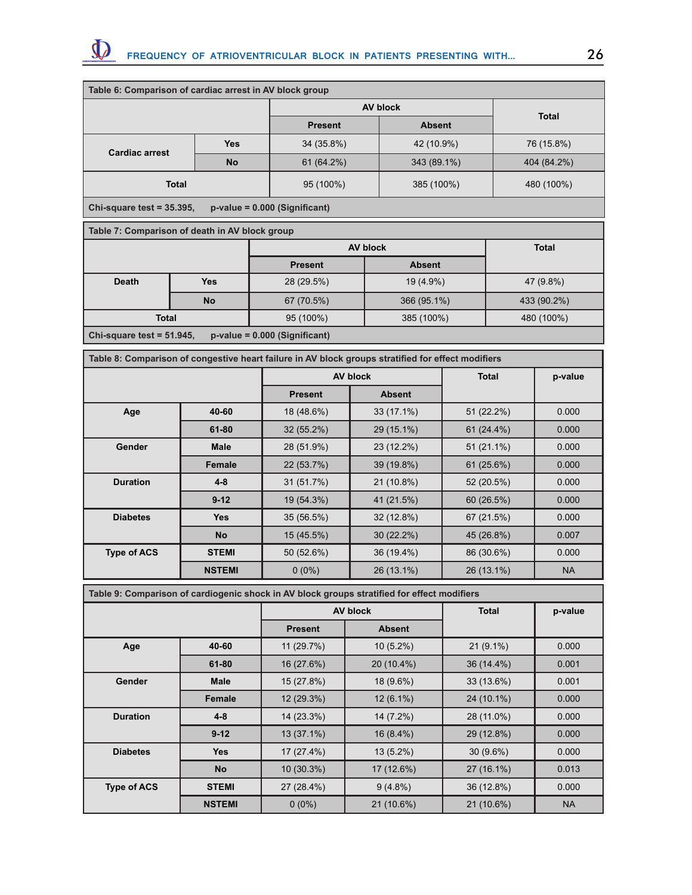

| Table 6: Comparison of cardiac arrest in AV block group |            |                |               |              |  |
|---------------------------------------------------------|------------|----------------|---------------|--------------|--|
|                                                         |            | AV block       |               |              |  |
|                                                         |            | <b>Present</b> | <b>Absent</b> | <b>Total</b> |  |
| <b>Cardiac arrest</b>                                   | <b>Yes</b> | 34 (35.8%)     | 42 (10.9%)    | 76 (15.8%)   |  |
|                                                         | <b>No</b>  | 61 (64.2%)     | 343 (89.1%)   | 404 (84.2%)  |  |
| <b>Total</b>                                            |            | 95 (100%)      | 385 (100%)    | 480 (100%)   |  |
| $\sim$ $\sim$ $\sim$ $\sim$ $\sim$ $\sim$ $\sim$        |            |                |               |              |  |

**Chi-square test = 35.395, p-value = 0.000 (Significant)**

| Table 7: Comparison of death in AV block group                  |           |                |               |              |  |  |
|-----------------------------------------------------------------|-----------|----------------|---------------|--------------|--|--|
|                                                                 |           | AV block       |               | <b>Total</b> |  |  |
|                                                                 |           | <b>Present</b> | <b>Absent</b> |              |  |  |
| <b>Death</b>                                                    | Yes       | 28 (29.5%)     | 19 (4.9%)     | 47 (9.8%)    |  |  |
|                                                                 | <b>No</b> | 67 (70.5%)     | 366 (95.1%)   | 433 (90.2%)  |  |  |
| <b>Total</b>                                                    |           | 95 (100%)      | 385 (100%)    | 480 (100%)   |  |  |
| Chi-square test = $51.945$ ,<br>$p-value = 0.000$ (Significant) |           |                |               |              |  |  |

| Table 8: Comparison of congestive heart failure in AV block groups stratified for effect modifiers |               |                 |               |              |           |
|----------------------------------------------------------------------------------------------------|---------------|-----------------|---------------|--------------|-----------|
|                                                                                                    |               | <b>AV block</b> |               | <b>Total</b> | p-value   |
|                                                                                                    |               | <b>Present</b>  | <b>Absent</b> |              |           |
| Age                                                                                                | 40-60         | 18 (48.6%)      | 33 (17.1%)    | 51 (22.2%)   | 0.000     |
|                                                                                                    | $61 - 80$     | $32(55.2\%)$    | 29 (15.1%)    | $61(24.4\%)$ | 0.000     |
| Gender                                                                                             | <b>Male</b>   | 28 (51.9%)      | 23 (12.2%)    | 51 (21.1%)   | 0.000     |
|                                                                                                    | <b>Female</b> | 22 (53.7%)      | 39 (19.8%)    | 61(25.6%)    | 0.000     |
| <b>Duration</b>                                                                                    | $4 - 8$       | 31 (51.7%)      | 21 (10.8%)    | 52 (20.5%)   | 0.000     |
|                                                                                                    | $9 - 12$      | 19 (54.3%)      | 41 (21.5%)    | 60 (26.5%)   | 0.000     |
| <b>Diabetes</b>                                                                                    | <b>Yes</b>    | 35 (56.5%)      | 32 (12.8%)    | 67 (21.5%)   | 0.000     |
|                                                                                                    | <b>No</b>     | 15 (45.5%)      | $30(22.2\%)$  | 45 (26.8%)   | 0.007     |
| <b>Type of ACS</b>                                                                                 | <b>STEMI</b>  | 50 (52.6%)      | 36 (19.4%)    | 86 (30.6%)   | 0.000     |
|                                                                                                    | <b>NSTEMI</b> | $0(0\%)$        | 26 (13.1%)    | 26 (13.1%)   | <b>NA</b> |

**Table 9: Comparison of cardiogenic shock in AV block groups stratified for effect modifiers**

| <b>AV block</b>    |               | <b>Total</b>   | p-value       |              |           |
|--------------------|---------------|----------------|---------------|--------------|-----------|
|                    |               | <b>Present</b> | <b>Absent</b> |              |           |
| Age                | 40-60         | 11(29.7%)      | $10(5.2\%)$   | $21(9.1\%)$  | 0.000     |
|                    | $61 - 80$     | 16 (27.6%)     | 20 (10.4%)    | $36(14.4\%)$ | 0.001     |
| Gender             | <b>Male</b>   | 15 (27.8%)     | 18 (9.6%)     | 33 (13.6%)   | 0.001     |
|                    | Female        | 12 (29.3%)     | $12(6.1\%)$   | 24 (10.1%)   | 0.000     |
| <b>Duration</b>    | $4 - 8$       | 14 (23.3%)     | 14 (7.2%)     | 28 (11.0%)   | 0.000     |
|                    | $9 - 12$      | 13 (37.1%)     | $16(8.4\%)$   | 29 (12.8%)   | 0.000     |
| <b>Diabetes</b>    | <b>Yes</b>    | $17(27.4\%)$   | $13(5.2\%)$   | $30(9.6\%)$  | 0.000     |
|                    | <b>No</b>     | 10 (30.3%)     | 17 (12.6%)    | 27 (16.1%)   | 0.013     |
| <b>Type of ACS</b> | <b>STEMI</b>  | 27 (28.4%)     | $9(4.8\%)$    | 36 (12.8%)   | 0.000     |
|                    | <b>NSTEMI</b> | $0(0\%)$       | 21 (10.6%)    | 21 (10.6%)   | <b>NA</b> |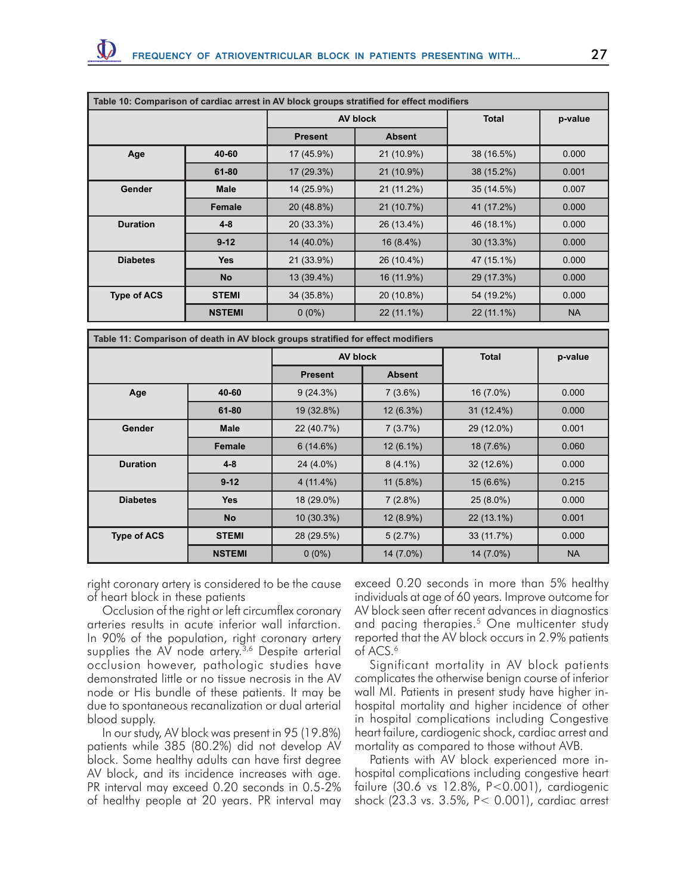|                    |               |                | AV block      | <b>Total</b> | p-value   |
|--------------------|---------------|----------------|---------------|--------------|-----------|
|                    |               | <b>Present</b> | <b>Absent</b> |              |           |
| Age                | 40-60         | 17 (45.9%)     | 21 (10.9%)    | 38 (16.5%)   | 0.000     |
|                    | $61 - 80$     | 17 (29.3%)     | 21 (10.9%)    | 38 (15.2%)   | 0.001     |
| <b>Gender</b>      | <b>Male</b>   | 14 (25.9%)     | 21 (11.2%)    | 35 (14.5%)   | 0.007     |
|                    | <b>Female</b> | 20 (48.8%)     | 21 (10.7%)    | 41 (17.2%)   | 0.000     |
| <b>Duration</b>    | $4 - 8$       | 20 (33.3%)     | 26 (13.4%)    | 46 (18.1%)   | 0.000     |
|                    | $9 - 12$      | 14 (40.0%)     | $16(8.4\%)$   | $30(13.3\%)$ | 0.000     |
| <b>Diabetes</b>    | <b>Yes</b>    | 21 (33.9%)     | 26 (10.4%)    | 47 (15.1%)   | 0.000     |
|                    | <b>No</b>     | 13 (39.4%)     | 16 (11.9%)    | 29 (17.3%)   | 0.000     |
| <b>Type of ACS</b> | <b>STEMI</b>  | 34 (35.8%)     | 20 (10.8%)    | 54 (19.2%)   | 0.000     |
|                    | <b>NSTEMI</b> | $0(0\%)$       | 22 (11.1%)    | 22 (11.1%)   | <b>NA</b> |

|                    |               |                | <b>AV block</b> |              | p-value   |
|--------------------|---------------|----------------|-----------------|--------------|-----------|
|                    |               | <b>Present</b> | <b>Absent</b>   |              |           |
| Age                | 40-60         | 9(24.3%)       | $7(3.6\%)$      | 16 (7.0%)    | 0.000     |
|                    | 61-80         | 19 (32.8%)     | 12 (6.3%)       | $31(12.4\%)$ | 0.000     |
| <b>Gender</b>      | <b>Male</b>   | 22 (40.7%)     | 7(3.7%)         | 29 (12.0%)   | 0.001     |
|                    | <b>Female</b> | 6(14.6%)       | $12(6.1\%)$     | 18 (7.6%)    | 0.060     |
| <b>Duration</b>    | $4 - 8$       | 24 (4.0%)      | $8(4.1\%)$      | 32 (12.6%)   | 0.000     |
|                    | $9 - 12$      | $4(11.4\%)$    | $11(5.8\%)$     | $15(6.6\%)$  | 0.215     |
| <b>Diabetes</b>    | <b>Yes</b>    | 18 (29.0%)     | $7(2.8\%)$      | $25(8.0\%)$  | 0.000     |
|                    | <b>No</b>     | $10(30.3\%)$   | 12 (8.9%)       | 22 (13.1%)   | 0.001     |
| <b>Type of ACS</b> | <b>STEMI</b>  | 28 (29.5%)     | 5(2.7%)         | 33 (11.7%)   | 0.000     |
|                    | <b>NSTEMI</b> | $0(0\%)$       | 14 (7.0%)       | 14 (7.0%)    | <b>NA</b> |

right coronary artery is considered to be the cause of heart block in these patients

Occlusion of the right or left circumflex coronary arteries results in acute inferior wall infarction. In 90% of the population, right coronary artery supplies the AV node artery.<sup>3,6</sup> Despite arterial occlusion however, pathologic studies have demonstrated little or no tissue necrosis in the AV node or His bundle of these patients. It may be due to spontaneous recanalization or dual arterial blood supply.

In our study, AV block was present in 95 (19.8%) patients while 385 (80.2%) did not develop AV block. Some healthy adults can have first degree AV block, and its incidence increases with age. PR interval may exceed 0.20 seconds in 0.5-2% of healthy people at 20 years. PR interval may

exceed 0.20 seconds in more than 5% healthy individuals at age of 60 years. Improve outcome for AV block seen after recent advances in diagnostics and pacing therapies.<sup>5</sup> One multicenter study reported that the AV block occurs in 2.9% patients of ACS.<sup>6</sup>

Significant mortality in AV block patients complicates the otherwise benign course of inferior wall MI. Patients in present study have higher inhospital mortality and higher incidence of other in hospital complications including Congestive heart failure, cardiogenic shock, cardiac arrest and mortality as compared to those without AVB.

Patients with AV block experienced more inhospital complications including congestive heart failure (30.6 vs 12.8%, P<0.001), cardiogenic shock (23.3 vs. 3.5%, P< 0.001), cardiac arrest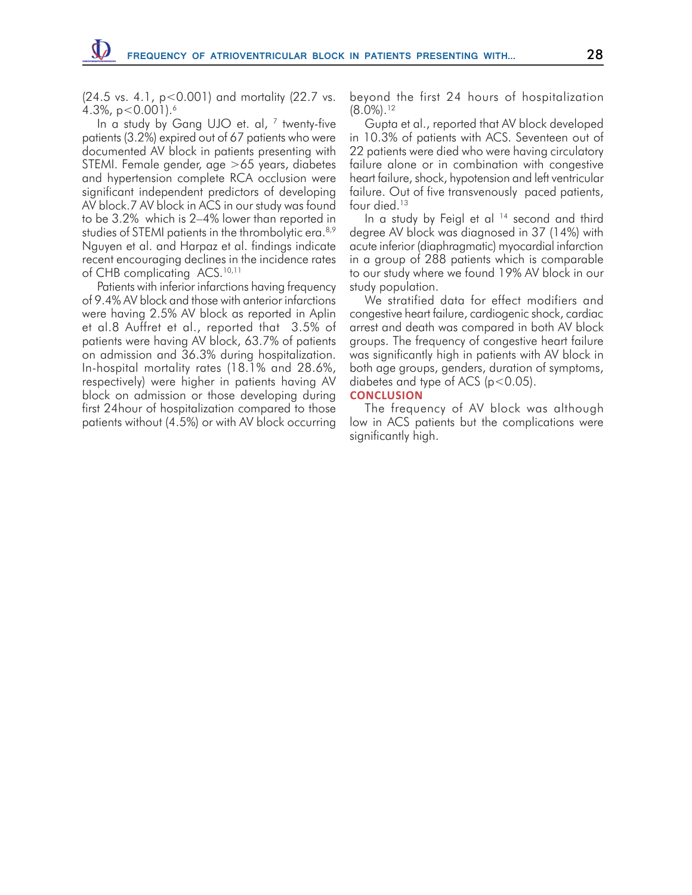(24.5 vs. 4.1, p<0.001) and mortality (22.7 vs. 4.3%,  $p < 0.001$ ).<sup>6</sup>

In a study by Gang UJO et. al, <sup>7</sup> twenty-five patients (3.2%) expired out of 67 patients who were documented AV block in patients presenting with STEMI. Female gender, age >65 years, diabetes and hypertension complete RCA occlusion were significant independent predictors of developing AV block.7 AV block in ACS in our study was found to be 3.2% which is 2–4% lower than reported in studies of STEMI patients in the thrombolytic era.<sup>8,9</sup> Nguyen et al. and Harpaz et al. findings indicate recent encouraging declines in the incidence rates of CHB complicating ACS.<sup>10,11</sup>

Patients with inferior infarctions having frequency of 9.4% AV block and those with anterior infarctions were having 2.5% AV block as reported in Aplin et al.8 Auffret et al., reported that 3.5% of patients were having AV block, 63.7% of patients on admission and 36.3% during hospitalization. In-hospital mortality rates (18.1% and 28.6%, respectively) were higher in patients having AV block on admission or those developing during first 24hour of hospitalization compared to those patients without (4.5%) or with AV block occurring beyond the first 24 hours of hospitalization  $(8.0\%)$ <sup>12</sup>

Gupta et al., reported that AV block developed in 10.3% of patients with ACS. Seventeen out of 22 patients were died who were having circulatory failure alone or in combination with congestive heart failure, shock, hypotension and left ventricular failure. Out of five transvenously paced patients, four died.<sup>13</sup>

In a study by Feigl et al <sup>14</sup> second and third degree AV block was diagnosed in 37 (14%) with acute inferior (diaphragmatic) myocardial infarction in a group of 288 patients which is comparable to our study where we found 19% AV block in our study population.

We stratified data for effect modifiers and congestive heart failure, cardiogenic shock, cardiac arrest and death was compared in both AV block groups. The frequency of congestive heart failure was significantly high in patients with AV block in both age groups, genders, duration of symptoms, diabetes and type of ACS ( $p < 0.05$ ).

#### **CONCLUSION**

The frequency of AV block was although low in ACS patients but the complications were significantly high.